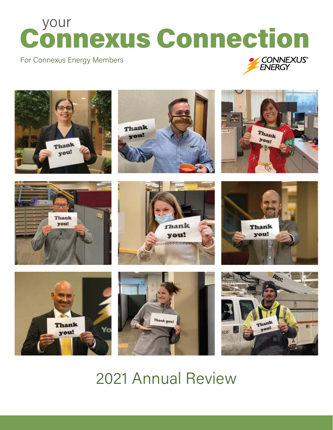# your Connexus Connection

#### For Connexus Energy Members





## 2021 Annual Review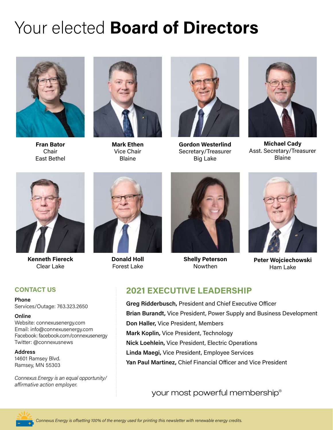# Your elected **Board of Directors**



**Fran Bator** Chair East Bethel



**Mark Ethen** Vice Chair Blaine



**Gordon Westerlind** Secretary/Treasurer Big Lake



**Michael Cady** Asst. Secretary/Treasurer Blaine



**Kenneth Fiereck** Clear Lake

#### **CONTACT US**

**Phone**

Services/Outage: 763.323.2650

#### **Online**

Website: connexusenergy.com Email: info@connexusenergy.com Facebook: facebook.com/connexusenergy Twitter: @connexusnews

#### **Address**

14601 Ramsey Blvd. Ramsey, MN 55303

*Connexus Energy is an equal opportunity/ affirmative action employer.* 



**Donald Holl**  Forest Lake



**Shelly Peterson** Nowthen



**Peter Wojciechowski** Ham Lake

#### **2021 EXECUTIVE LEADERSHIP**

**Greg Ridderbusch,** President and Chief Executive Officer **Brian Burandt,** Vice President, Power Supply and Business Development **Don Haller,** Vice President, Members **Mark Koplin,** Vice President, Technology **Nick Loehlein,** Vice President, Electric Operations **Linda Maegi,** Vice President, Employee Services **Yan Paul Martinez,** Chief Financial Officer and Vice President

your most powerful membership®

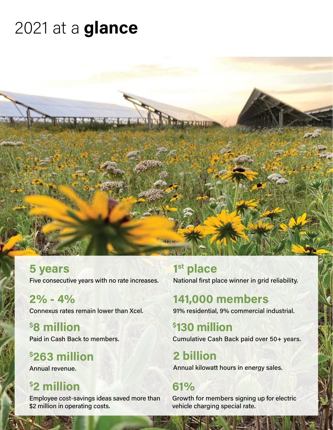# 2021 at a **glance**



**5 years**  Five consecutive years with no rate increases.

**2% - 4%** Connexus rates remain lower than Xcel.

**\$ 8 million** Paid in Cash Back to members.

**\$ 263 million** Annual revenue.

## **\$ 2 million**

Employee cost-savings ideas saved more than \$2 million in operating costs.

**1st place**  National first place winner in grid reliability.

## **141,000 members**

91% residential, 9% commercial industrial.

**\$ 130 million**

Cumulative Cash Back paid over 50+ years.

**2 billion**  Annual kilowatt hours in energy sales.

### **61%**

Growth for members signing up for electric vehicle charging special rate.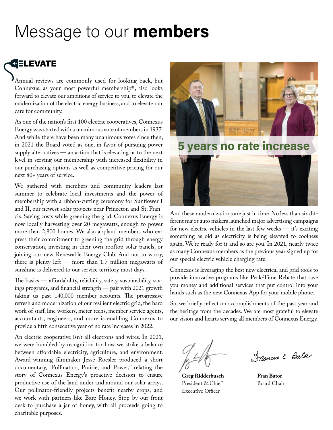## Message to our **members**

## **SELEVATE**

Annual reviews are commonly used for looking back, but Connexus, as your most powerful membership®, also looks forward to elevate our ambitions of service to you, to elevate the modernization of the electric energy business, and to elevate our care for community.

As one of the nation's first 100 electric cooperatives, Connexus Energy was started with a unanimous vote of members in 1937. And while there have been many unanimous votes since then, in 2021 the Board voted as one, in favor of pursuing power supply alternatives — an action that is elevating us to the next level in serving our membership with increased flexibility in our purchasing options as well as competitive pricing for our next 80+ years of service.

We gathered with members and community leaders last summer to celebrate local investments and the power of membership with a ribbon-cutting ceremony for Sunflower I and II, our newest solar projects near Princeton and St. Francis. Saving costs while greening the grid, Connexus Energy is now locally harvesting over 20 megawatts, enough to power more than 2,800 homes. We also applaud members who express their commitment to greening the grid through energy conservation, investing in their own rooftop solar panels, or joining our new Renewable Energy Club. And not to worry, there is plenty left — more than 1.7 million megawatts of sunshine is delivered to our service territory most days.

The basics — affordability, reliability, safety, sustainability, savings programs, and financial strength — pair with 2021 growth taking us past 140,000 member accounts. The progressive refresh and modernization of our resilient electric grid, the hard work of staff, line workers, meter techs, member service agents, accountants, engineers, and more is enabling Connexus to provide a fifth consecutive year of no rate increases in 2022.

An electric cooperative isn't all electrons and wires. In 2021, we were humbled by recognition for how we strike a balance between affordable electricity, agriculture, and environment. Award-winning filmmaker Jesse Roesler produced a short documentary, "Pollinators, Prairie, and Power," relating the story of Connexus Energy's proactive decision to ensure productive use of the land under and around our solar arrays. Our pollinator-friendly projects benefit nearby crops, and we work with partners like Bare Honey. Stop by our front desk to purchase a jar of honey, with all proceeds going to charitable purposes.



**5 years no rate increase**



And these modernizations are just in time. No less than six different major auto makers launched major advertising campaigns for new electric vehicles in the last few weeks — it's exciting something as old as electricity is being elevated to coolness again. We're ready for it and so are you. In 2021, nearly twice as many Connexus members as the previous year signed up for our special electric vehicle charging rate.

Connexus is leveraging the best new electrical and grid tools to provide innovative programs like Peak-Time Rebate that save you money and additional services that put control into your hands such as the new Connexus App for your mobile phone.

So, we briefly reflect on accomplishments of the past year and the heritage from the decades. We are most grateful to elevate our vision and hearts serving all members of Connexus Energy.

**Greg Ridderbusch** President & Chief Executive Officer

Frances E. Bato

**Fran Bator** Board Chair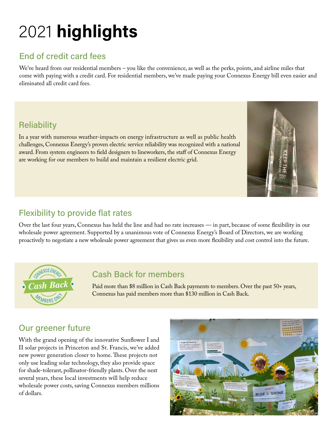# 2021 **highlights**

### End of credit card fees

We've heard from our residential members – you like the convenience, as well as the perks, points, and airline miles that come with paying with a credit card. For residential members, we've made paying your Connexus Energy bill even easier and eliminated all credit card fees.

### **Reliability**

In a year with numerous weather-impacts on energy infrastructure as well as public health challenges, Connexus Energy's proven electric service reliability was recognized with a national award. From system engineers to field designers to lineworkers, the staff of Connexus Energy are working for our members to build and maintain a resilient electric grid.



### Flexibility to provide flat rates

Over the last four years, Connexus has held the line and had no rate increases — in part, because of some flexibility in our wholesale power agreement. Supported by a unanimous vote of Connexus Energy's Board of Directors, we are working proactively to negotiate a new wholesale power agreement that gives us even more flexibility and cost control into the future.



#### Cash Back for members

Paid more than \$8 million in Cash Back payments to members. Over the past 50+ years, Connexus has paid members more than \$130 million in Cash Back.

### Our greener future

With the grand opening of the innovative Sunflower I and II solar projects in Princeton and St. Francis, we've added new power generation closer to home. These projects not only use leading solar technology, they also provide space for shade-tolerant, pollinator-friendly plants. Over the next several years, these local investments will help reduce wholesale power costs, saving Connexus members millions of dollars.

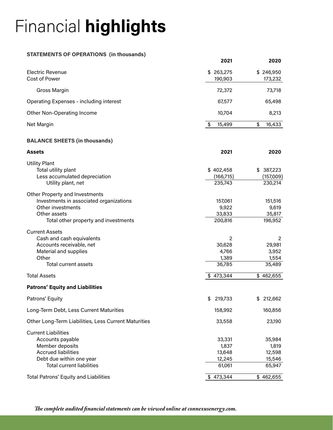# Financial **highlights**

#### **STATEMENTS OF OPERATIONS (in thousands)**

|                                         | 2021                      | 2020                 |
|-----------------------------------------|---------------------------|----------------------|
| Electric Revenue<br>Cost of Power       | 263,275<br>SS.<br>190,903 | \$246,950<br>173,232 |
| Gross Margin                            | 72,372                    | 73,718               |
| Operating Expenses - including interest | 67,577                    | 65,498               |
| Other Non-Operating Income              | 10,704                    | 8,213                |
| Net Margin                              | 15,499<br>S               | 16,433<br>\$.        |

#### **BALANCE SHEETS (in thousands)**

| <b>Assets</b>                                        | 2021           | 2020      |
|------------------------------------------------------|----------------|-----------|
| <b>Utility Plant</b>                                 |                |           |
| Total utility plant                                  | \$402,458      | \$387,223 |
| Less accumulated depreciation                        | (166, 715)     | (157,009) |
| Utility plant, net                                   | 235,743        | 230,214   |
| Other Property and Investments                       |                |           |
| Investments in associated organizations              | 157,061        | 151,516   |
| Other investments                                    | 9,922          | 9,619     |
| Other assets                                         | 33,833         | 35,817    |
| Total other property and investments                 | 200,816        | 196,952   |
| <b>Current Assets</b>                                |                |           |
| Cash and cash equivalents                            | $\overline{2}$ | 2         |
| Accounts receivable, net                             | 30,628         | 29,981    |
| Material and supplies                                | 4,766          | 3,952     |
| Other                                                | 1,389          | 1,554     |
| <b>Total current assets</b>                          | 36,785         | 35,489    |
| <b>Total Assets</b>                                  | \$473,344      | \$462,655 |
| <b>Patrons' Equity and Liabilities</b>               |                |           |
| Patrons' Equity                                      | 219,733<br>\$  | \$212,662 |
| Long-Term Debt, Less Current Maturities              | 158,992        | 160,856   |
| Other Long-Term Liabilities, Less Current Maturities | 33,558         | 23,190    |
| <b>Current Liabilities</b>                           |                |           |
| Accounts payable                                     | 33,331         | 35,984    |
| Member deposits                                      | 1,837          | 1,819     |
| <b>Accrued liabilities</b>                           | 13,648         | 12,598    |
| Debt due within one year                             | 12,245         | 15,546    |
| <b>Total current liabilities</b>                     | 61,061         | 65,947    |
| <b>Total Patrons' Equity and Liabilities</b>         | \$473,344      | \$462,655 |

*The complete audited financial statements can be viewed online at connexusenergy.com.*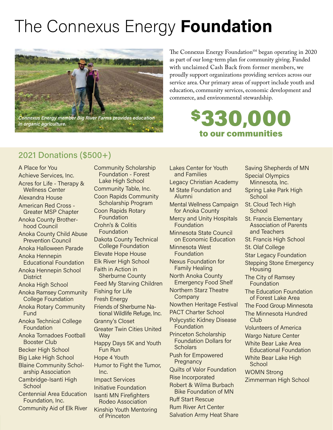# The Connexus Energy **Foundation**



The Connexus Energy Foundation<sup>SM</sup> began operating in 2020 as part of our long-term plan for community giving. Funded with unclaimed Cash Back from former members, we proudly support organizations providing services across our service area. Our primary areas of support include youth and education, community services, economic development and commerce, and environmental stewardship.

### \$330,000 to our communities

### 2021 Donations (\$500+)

A Place for You Achieve Services, Inc. Acres for Life - Therapy & Wellness Center Alexandra House American Red Cross - Greater MSP Chapter Anoka County Brotherhood Council Anoka County Child Abuse Prevention Council Anoka Halloween Parade Anoka Hennepin Educational Foundation Anoka Hennepin School **District** Anoka High School Anoka Ramsey Community College Foundation Anoka Rotary Community **Fund** Anoka Technical College Foundation Anoka Tornadoes Football Booster Club Becker High School Big Lake High School Blaine Community Scholarship Association Cambridge-Isanti High **School** Centennial Area Education Foundation, Inc. Community Aid of Elk River Community Scholarship Foundation - Forest Lake High School Community Table, Inc. Coon Rapids Community Scholarship Program Coon Rapids Rotary Foundation Crohn's & Colitis Foundation Dakota County Technical College Foundation Elevate Hope House Elk River High School Faith in Action in Sherburne County Feed My Starving Children Fishing for Life Fresh Energy Friends of Sherburne National Wildlife Refuge, Inc. Granny's Closet Greater Twin Cities United **Way** Happy Days 5K and Youth Fun Run Hope 4 Youth Humor to Fight the Tumor, Inc. Impact Services Initiative Foundation Isanti MN Firefighters Rodeo Association Kinship Youth Mentoring of Princeton

Lakes Center for Youth and Families Legacy Christian Academy M State Foundation and Alumni Mental Wellness Campaign for Anoka County Mercy and Unity Hospitals Foundation Minnesota State Council on Economic Education Minnesota West **Foundation** Nexus Foundation for Family Healing North Anoka County Emergency Food Shelf Northern Starz Theatre Company Nowthen Heritage Festival PACT Charter School Polycystic Kidney Disease **Foundation** Princeton Scholarship Foundation Dollars for **Scholars** Push for Empowered **Pregnancy** Quilts of Valor Foundation Rise Incorporated Robert & Wilma Burbach Bike Foundation of MN Ruff Start Rescue Rum River Art Center Salvation Army Heat Share

Saving Shepherds of MN Special Olympics Minnesota, Inc. Spring Lake Park High **School** St. Cloud Tech High School St. Francis Elementary Association of Parents and Teachers St. Francis High School St. Olaf College Star Legacy Foundation Stepping Stone Emergency **Housing** The City of Ramsey Foundation The Education Foundation of Forest Lake Area The Food Group Minnesota The Minnesota Hundred Club Volunteers of America Wargo Nature Center White Bear Lake Area Educational Foundation White Bear Lake High **School** WOMN Strong Zimmerman High School